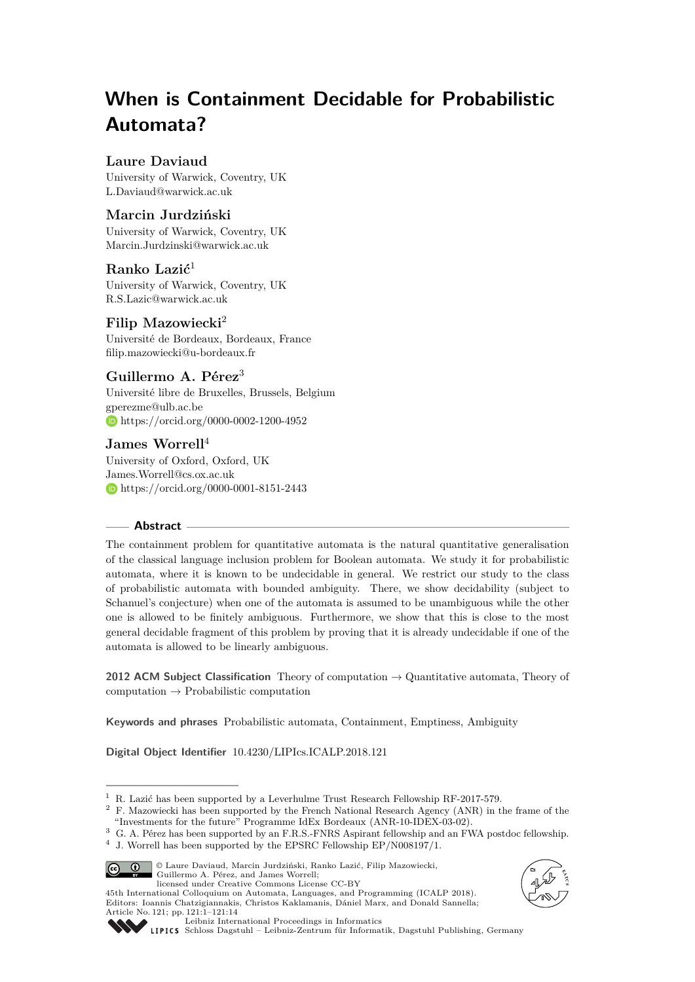# **When is Containment Decidable for Probabilistic Automata?**

# **Laure Daviaud**

University of Warwick, Coventry, UK [L.Daviaud@warwick.ac.uk](mailto:L.Daviaud@warwick.ac.uk)

# **Marcin Jurdziński**

University of Warwick, Coventry, UK [Marcin.Jurdzinski@warwick.ac.uk](mailto:Marcin.Jurdzinski@warwick.ac.uk)

# **Ranko Lazić**<sup>1</sup>

University of Warwick, Coventry, UK [R.S.Lazic@warwick.ac.uk](mailto:R.S.Lazic@warwick.ac.uk)

# **Filip Mazowiecki**<sup>2</sup>

Université de Bordeaux, Bordeaux, France [filip.mazowiecki@u-bordeaux.fr](mailto:filip.mazowiecki@u-bordeaux.fr)

# **Guillermo A. Pérez**<sup>3</sup>

Université libre de Bruxelles, Brussels, Belgium [gperezme@ulb.ac.be](mailto:gperezme@ulb.ac.be) <https://orcid.org/0000-0002-1200-4952>

# **James Worrell**<sup>4</sup>

University of Oxford, Oxford, UK [James.Worrell@cs.ox.ac.uk](mailto:James.Worrell@cs.ox.ac.uk) <https://orcid.org/0000-0001-8151-2443>

### **Abstract**

The containment problem for quantitative automata is the natural quantitative generalisation of the classical language inclusion problem for Boolean automata. We study it for probabilistic automata, where it is known to be undecidable in general. We restrict our study to the class of probabilistic automata with bounded ambiguity. There, we show decidability (subject to Schanuel's conjecture) when one of the automata is assumed to be unambiguous while the other one is allowed to be finitely ambiguous. Furthermore, we show that this is close to the most general decidable fragment of this problem by proving that it is already undecidable if one of the automata is allowed to be linearly ambiguous.

**2012 ACM Subject Classification** Theory of computation → Quantitative automata, Theory of computation  $\rightarrow$  Probabilistic computation

**Keywords and phrases** Probabilistic automata, Containment, Emptiness, Ambiguity

**Digital Object Identifier** [10.4230/LIPIcs.ICALP.2018.121](http://dx.doi.org/10.4230/LIPIcs.ICALP.2018.121)

<sup>3</sup> G. A. Pérez has been supported by an F.R.S.-FNRS Aspirant fellowship and an FWA postdoc fellowship.  $4\,$  J. Worrell has been supported by the EPSRC Fellowship EP/N008197/1.



© Laure Daviaud, Marcin Jurdziński, Ranko Lazić, Filip Mazowiecki, Guillermo A. Pérez, and James Worrell; licensed under Creative Commons License CC-BY 45th International Colloquium on Automata, Languages, and Programming (ICALP 2018).

Editors: Ioannis Chatzigiannakis, Christos Kaklamanis, Dániel Marx, and Donald Sannella;



Article No. 121; pp. 121:1–121[:14](#page-13-0) [Leibniz International Proceedings in Informatics](http://www.dagstuhl.de/lipics/)

[Schloss Dagstuhl – Leibniz-Zentrum für Informatik, Dagstuhl Publishing, Germany](http://www.dagstuhl.de)

 $^1\,$  R. Lazić has been supported by a Leverhulme Trust Research Fellowship RF-2017-579.

<sup>&</sup>lt;sup>2</sup> F. Mazowiecki has been supported by the French National Research Agency (ANR) in the frame of the "Investments for the future" Programme IdEx Bordeaux (ANR-10-IDEX-03-02).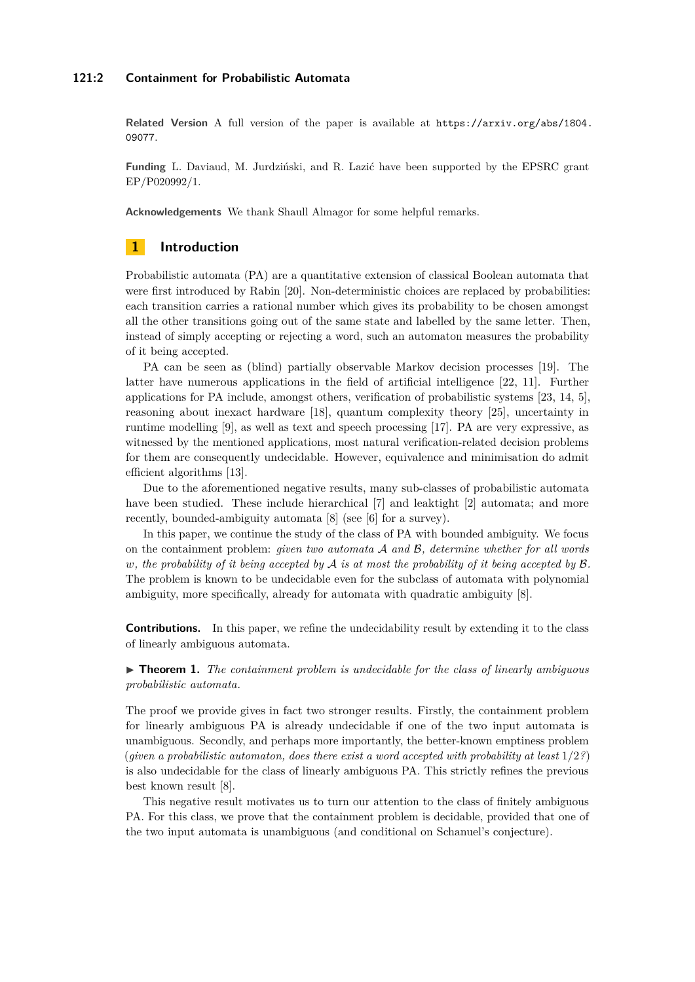#### **121:2 Containment for Probabilistic Automata**

**Related Version** A full version of the paper is available at [https://arxiv.org/abs/1804.](https://arxiv.org/abs/1804.09077) [09077](https://arxiv.org/abs/1804.09077).

**Funding** L. Daviaud, M. Jurdziński, and R. Lazić have been supported by the EPSRC grant EP/P020992/1.

**Acknowledgements** We thank Shaull Almagor for some helpful remarks.

# **1 Introduction**

Probabilistic automata (PA) are a quantitative extension of classical Boolean automata that were first introduced by Rabin [\[20\]](#page-13-1). Non-deterministic choices are replaced by probabilities: each transition carries a rational number which gives its probability to be chosen amongst all the other transitions going out of the same state and labelled by the same letter. Then, instead of simply accepting or rejecting a word, such an automaton measures the probability of it being accepted.

PA can be seen as (blind) partially observable Markov decision processes [\[19\]](#page-13-2). The latter have numerous applications in the field of artificial intelligence [\[22,](#page-13-3) [11\]](#page-12-0). Further applications for PA include, amongst others, verification of probabilistic systems [\[23,](#page-13-4) [14,](#page-12-1) [5\]](#page-12-2), reasoning about inexact hardware [\[18\]](#page-13-5), quantum complexity theory [\[25\]](#page-13-6), uncertainty in runtime modelling [\[9\]](#page-12-3), as well as text and speech processing [\[17\]](#page-13-7). PA are very expressive, as witnessed by the mentioned applications, most natural verification-related decision problems for them are consequently undecidable. However, equivalence and minimisation do admit efficient algorithms [\[13\]](#page-12-4).

Due to the aforementioned negative results, many sub-classes of probabilistic automata have been studied. These include hierarchical [\[7\]](#page-12-5) and leaktight [\[2\]](#page-12-6) automata; and more recently, bounded-ambiguity automata [\[8\]](#page-12-7) (see [\[6\]](#page-12-8) for a survey).

In this paper, we continue the study of the class of PA with bounded ambiguity. We focus on the containment problem: *given two automata* A *and* B*, determine whether for all words w, the probability of it being accepted by* A *is at most the probability of it being accepted by* B*.* The problem is known to be undecidable even for the subclass of automata with polynomial ambiguity, more specifically, already for automata with quadratic ambiguity [\[8\]](#page-12-7).

**Contributions.** In this paper, we refine the undecidability result by extending it to the class of linearly ambiguous automata.

<span id="page-1-0"></span>► **Theorem 1.** *The containment problem is undecidable for the class of linearly ambiguous probabilistic automata.*

The proof we provide gives in fact two stronger results. Firstly, the containment problem for linearly ambiguous PA is already undecidable if one of the two input automata is unambiguous. Secondly, and perhaps more importantly, the better-known emptiness problem (*given a probabilistic automaton, does there exist a word accepted with probability at least* 1*/*2*?*) is also undecidable for the class of linearly ambiguous PA. This strictly refines the previous best known result [\[8\]](#page-12-7).

This negative result motivates us to turn our attention to the class of finitely ambiguous PA. For this class, we prove that the containment problem is decidable, provided that one of the two input automata is unambiguous (and conditional on Schanuel's conjecture).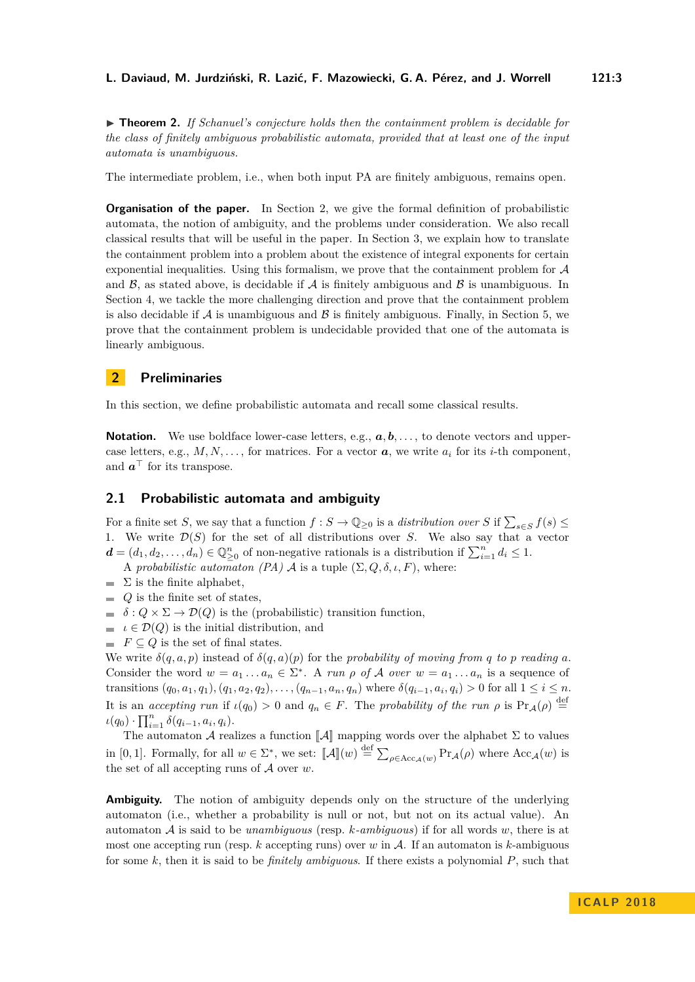<span id="page-2-1"></span>▶ **Theorem 2.** *If Schanuel's conjecture holds then the containment problem is decidable for the class of finitely ambiguous probabilistic automata, provided that at least one of the input automata is unambiguous.*

The intermediate problem, i.e., when both input PA are finitely ambiguous, remains open.

**Organisation of the paper.** In Section [2,](#page-2-0) we give the formal definition of probabilistic automata, the notion of ambiguity, and the problems under consideration. We also recall classical results that will be useful in the paper. In Section [3,](#page-4-0) we explain how to translate the containment problem into a problem about the existence of integral exponents for certain exponential inequalities. Using this formalism, we prove that the containment problem for  $A$ and  $\beta$ , as stated above, is decidable if  $\mathcal A$  is finitely ambiguous and  $\beta$  is unambiguous. In Section [4,](#page-5-0) we tackle the more challenging direction and prove that the containment problem is also decidable if  $\mathcal A$  is unambiguous and  $\mathcal B$  is finitely ambiguous. Finally, in Section [5,](#page-9-0) we prove that the containment problem is undecidable provided that one of the automata is linearly ambiguous.

# <span id="page-2-0"></span>**2 Preliminaries**

In this section, we define probabilistic automata and recall some classical results.

**Notation.** We use boldface lower-case letters, e.g.,  $a, b, \ldots$ , to denote vectors and uppercase letters, e.g.,  $M, N, \ldots$ , for matrices. For a vector  $a$ , we write  $a_i$  for its *i*-th component, and  $a^{\top}$  for its transpose.

### **2.1 Probabilistic automata and ambiguity**

For a finite set *S*, we say that a function  $f : S \to \mathbb{Q}_{\geq 0}$  is a *distribution over S* if  $\sum_{s \in S} f(s) \leq$ 1. We write  $\mathcal{D}(S)$  for the set of all distributions over *S*. We also say that a vector  $d = (d_1, d_2, \ldots, d_n) \in \mathbb{Q}_{\geq 0}^n$  of non-negative rationals is a distribution if  $\sum_{i=1}^n d_i \leq 1$ .

- A *probabilistic automaton (PA)* A is a tuple  $(\Sigma, Q, \delta, \iota, F)$ , where:
- $\sum$  is the finite alphabet.
- $Q$  is the finite set of states,
- $\delta$  :  $Q \times \Sigma \rightarrow \mathcal{D}(Q)$  is the (probabilistic) transition function,
- $\blacksquare \iota \in \mathcal{D}(Q)$  is the initial distribution, and
- $F \subseteq Q$  is the set of final states.

We write  $\delta(q, a, p)$  instead of  $\delta(q, a)(p)$  for the *probability of moving from q to p reading a*. Consider the word  $w = a_1 \dots a_n \in \Sigma^*$ . A *run*  $\rho$  *of*  $\mathcal A$  *over*  $w = a_1 \dots a_n$  is a sequence of transitions  $(q_0, a_1, q_1), (q_1, a_2, q_2), \ldots, (q_{n-1}, a_n, q_n)$  where  $\delta(q_{i-1}, a_i, q_i) > 0$  for all  $1 \leq i \leq n$ . It is an *accepting run* if  $\iota(q_0) > 0$  and  $q_n \in F$ . The *probability of the run*  $\rho$  is  $Pr_A(\rho) \stackrel{\text{def}}{=}$  $\iota(q_0) \cdot \prod_{i=1}^n \delta(q_{i-1}, a_i, q_i).$ 

The automaton  $\mathcal A$  realizes a function  $\llbracket \mathcal A \rrbracket$  mapping words over the alphabet  $\Sigma$  to values in [0, 1]. Formally, for all  $w \in \Sigma^*$ , we set:  $\llbracket \mathcal{A} \rrbracket(w) \stackrel{\text{def}}{=} \sum_{\rho \in Acc_{\mathcal{A}}(w)} Pr_{\mathcal{A}}(\rho)$  where  $Acc_{\mathcal{A}}(w)$  is the set of all accepting runs of A over *w*.

**Ambiguity.** The notion of ambiguity depends only on the structure of the underlying automaton (i.e., whether a probability is null or not, but not on its actual value). An automaton A is said to be *unambiguous* (resp. *k-ambiguous*) if for all words *w*, there is at most one accepting run (resp. *k* accepting runs) over *w* in A. If an automaton is *k*-ambiguous for some *k*, then it is said to be *finitely ambiguous*. If there exists a polynomial *P*, such that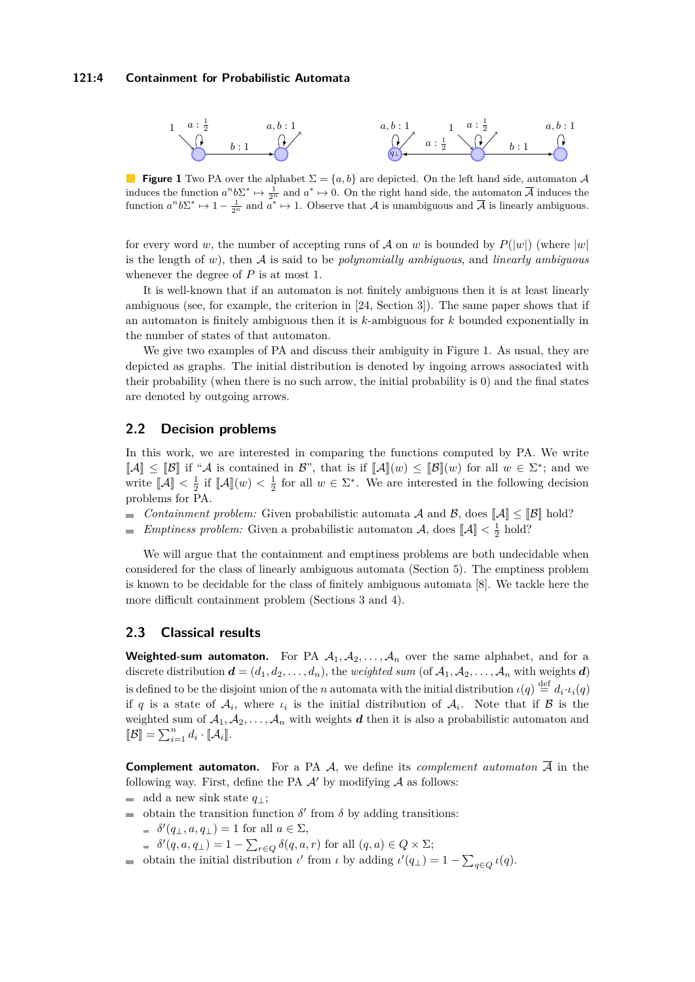#### **121:4 Containment for Probabilistic Automata**

<span id="page-3-0"></span>

**Figure 1** Two PA over the alphabet  $\Sigma = \{a, b\}$  are depicted. On the left hand side, automaton A induces the function  $a^n b \Sigma^* \mapsto \frac{1}{2^n}$  and  $a^* \mapsto 0$ . On the right hand side, the automaton  $\overline{A}$  induces the function  $a^n b \Sigma^* \mapsto 1 - \frac{1}{2^n}$  and  $a^* \mapsto 1$ . Observe that A is unambiguous and  $\overline{A}$  is linearly ambiguous.

for every word *w*, the number of accepting runs of A on *w* is bounded by  $P(|w|)$  (where  $|w|$ is the length of *w*), then A is said to be *polynomially ambiguous*, and *linearly ambiguous* whenever the degree of *P* is at most 1.

It is well-known that if an automaton is not finitely ambiguous then it is at least linearly ambiguous (see, for example, the criterion in [\[24,](#page-13-8) Section 3]). The same paper shows that if an automaton is finitely ambiguous then it is *k*-ambiguous for *k* bounded exponentially in the number of states of that automaton.

We give two examples of PA and discuss their ambiguity in Figure [1.](#page-3-0) As usual, they are depicted as graphs. The initial distribution is denoted by ingoing arrows associated with their probability (when there is no such arrow, the initial probability is 0) and the final states are denoted by outgoing arrows.

### **2.2 Decision problems**

In this work, we are interested in comparing the functions computed by PA. We write  $[\![A]\!] \leq [\![\mathcal{B}]\!]$  if "A is contained in  $\mathcal{B}$ ", that is if  $[\![A]\!](w) \leq [\![\mathcal{B}]\!](w)$  for all  $w \in \Sigma^*$ ; and we write  $\llbracket A \rrbracket < \frac{1}{2}$  if  $\llbracket A \rrbracket(w) < \frac{1}{2}$  for all  $w \in \Sigma^*$ . We are interested in the following decision problems for PA.

- *Containment problem:* Given probabilistic automata A and B, does  $\llbracket A \rrbracket \leq \llbracket \mathcal{B} \rrbracket$  hold?
- *Emptiness problem:* Given a probabilistic automaton  $\mathcal{A}$ , does  $\llbracket \mathcal{A} \rrbracket < \frac{1}{2}$  hold?

We will argue that the containment and emptiness problems are both undecidable when considered for the class of linearly ambiguous automata (Section [5\)](#page-9-0). The emptiness problem is known to be decidable for the class of finitely ambiguous automata [\[8\]](#page-12-7). We tackle here the more difficult containment problem (Sections [3](#page-4-0) and [4\)](#page-5-0).

# **2.3 Classical results**

**Weighted-sum automaton.** For PA  $A_1, A_2, \ldots, A_n$  over the same alphabet, and for a discrete distribution  $\mathbf{d} = (d_1, d_2, \ldots, d_n)$ , the *weighted sum* (of  $A_1, A_2, \ldots, A_n$  with weights *d*) is defined to be the disjoint union of the *n* automata with the initial distribution  $\iota(q) \stackrel{\text{def}}{=} d_i \cdot \iota_i(q)$ if *q* is a state of  $A_i$ , where  $\iota_i$  is the initial distribution of  $A_i$ . Note that if  $B$  is the weighted sum of  $A_1, A_2, \ldots, A_n$  with weights *d* then it is also a probabilistic automaton and  $[\![\mathcal{B}]\!] = \sum_{i=1}^n d_i \cdot [\![\mathcal{A}_i]\!]$ .

**Complement automaton.** For a PA  $\mathcal{A}$ , we define its *complement automaton*  $\overline{\mathcal{A}}$  in the following way. First, define the PA  $\mathcal{A}'$  by modifying  $\mathcal{A}$  as follows:

- add a new sink state  $q_{\perp}$ ;
- obtain the transition function  $\delta'$  from  $\delta$  by adding transitions:
	- $\delta'(q_\perp, a, q_\perp) = 1$  for all  $a \in \Sigma$ ,
	- $\delta'(q, a, q_{\perp}) = 1 \sum_{r \in Q} \delta(q, a, r)$  for all  $(q, a) \in Q \times \Sigma$ ;
- obtain the initial distribution *ι*' from *ι* by adding  $\iota'(q_{\perp}) = 1 \sum_{q \in Q} \iota(q)$ .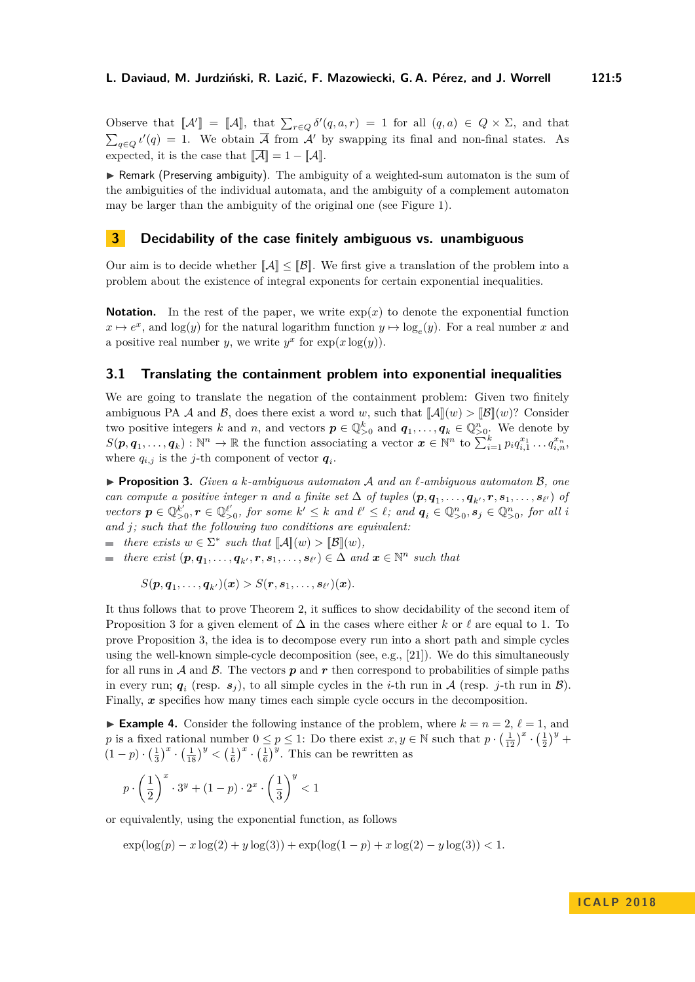Observe that  $\llbracket \mathcal{A}' \rrbracket = \llbracket \mathcal{A} \rrbracket$ , that  $\sum_{r \in Q} \delta'(q, a, r) = 1$  for all  $(q, a) \in Q \times \Sigma$ , and that  $\sum_{q \in Q} l'(q) = 1$ . We obtain  $\overline{A}$  from A' by swapping its final and non-final states. As expected, it is the case that  $\|\mathcal{A}\| = 1 - \|\mathcal{A}\|$ .

 $\triangleright$  Remark (Preserving ambiguity). The ambiguity of a weighted-sum automaton is the sum of the ambiguities of the individual automata, and the ambiguity of a complement automaton may be larger than the ambiguity of the original one (see Figure [1\)](#page-3-0).

## <span id="page-4-0"></span>**3 Decidability of the case finitely ambiguous vs. unambiguous**

Our aim is to decide whether  $\|\mathcal{A}\| \leq \|\mathcal{B}\|$ . We first give a translation of the problem into a problem about the existence of integral exponents for certain exponential inequalities.

**Notation.** In the rest of the paper, we write  $exp(x)$  to denote the exponential function  $x \mapsto e^x$ , and log(*y*) for the natural logarithm function  $y \mapsto \log_e(y)$ . For a real number *x* and a positive real number *y*, we write  $y^x$  for  $exp(x \log(y))$ .

#### **3.1 Translating the containment problem into exponential inequalities**

We are going to translate the negation of the containment problem: Given two finitely ambiguous PA A and B, does there exist a word w, such that  $\llbracket \mathcal{A} \rrbracket(w) > \llbracket \mathcal{B} \rrbracket(w)$ ? Consider two positive integers *k* and *n*, and vectors  $p \in \mathbb{Q}_{>0}^k$  and  $q_1, \ldots, q_k \in \mathbb{Q}_{>0}^n$ . We denote by  $S(\boldsymbol{p}, \boldsymbol{q}_1, \ldots, \boldsymbol{q}_k) : \mathbb{N}^n \to \mathbb{R}$  the function associating a vector  $\boldsymbol{x} \in \mathbb{N}^n$  to  $\sum_{i=1}^k p_i q_{i,1}^{x_1} \ldots q_{i,n}^{x_n}$ where  $q_{i,j}$  is the *j*-th component of vector  $q_i$ .

<span id="page-4-1"></span>I **Proposition 3.** *Given a k-ambiguous automaton* A *and an `-ambiguous automaton* B*, one* can compute a positive integer n and a finite set  $\Delta$  of tuples  $(p, q_1, \ldots, q_{k'}, r, s_1, \ldots, s_{\ell'})$  of vectors  $p \in \mathbb{Q}_{>0}^{k'}$ ,  $r \in \mathbb{Q}_{>0}^{\ell'}$ , for some  $k' \leq k$  and  $\ell' \leq \ell$ ; and  $q_i \in \mathbb{Q}_{>0}^n$ ,  $s_j \in \mathbb{Q}_{>0}^n$ , for all i *and j; such that the following two conditions are equivalent:*

*there exists*  $w \in \Sigma^*$  *such that*  $\llbracket \mathcal{A} \rrbracket(w) > \llbracket \mathcal{B} \rrbracket(w)$ ,

*there exist*  $(\boldsymbol{p}, \boldsymbol{q}_1, \dots, \boldsymbol{q}_{k'}, \boldsymbol{r}, \boldsymbol{s}_1, \dots, \boldsymbol{s}_{\ell'}) \in \Delta$  and  $\boldsymbol{x} \in \mathbb{N}^n$  such that

$$
S(\boldsymbol{p},\boldsymbol{q}_1,\ldots,\boldsymbol{q}_{k'})(\boldsymbol{x})>S(\boldsymbol{r},\boldsymbol{s}_1,\ldots,\boldsymbol{s}_{\ell'})(\boldsymbol{x}).
$$

It thus follows that to prove Theorem [2,](#page-2-1) it suffices to show decidability of the second item of Proposition [3](#page-4-1) for a given element of  $\Delta$  in the cases where either *k* or  $\ell$  are equal to 1. To prove Proposition [3,](#page-4-1) the idea is to decompose every run into a short path and simple cycles using the well-known simple-cycle decomposition (see, e.g., [\[21\]](#page-13-9)). We do this simultaneously for all runs in  $\mathcal A$  and  $\mathcal B$ . The vectors  $p$  and  $r$  then correspond to probabilities of simple paths in every run;  $q_i$  (resp.  $s_j$ ), to all simple cycles in the *i*-th run in A (resp. *j*-th run in B). Finally, x specifies how many times each simple cycle occurs in the decomposition.

**Example 4.** Consider the following instance of the problem, where  $k = n = 2$ ,  $\ell = 1$ , and *p* is a fixed rational number  $0 \leq p \leq 1$ : Do there exist  $x, y \in \mathbb{N}$  such that  $p \cdot (\frac{1}{12})^x \cdot (\frac{1}{2})^y$  +  $(1-p) \cdot (\frac{1}{3})^x \cdot (\frac{1}{18})^y < (\frac{1}{6})^x \cdot (\frac{1}{6})^y$ . This can be rewritten as

$$
p \cdot \left(\frac{1}{2}\right)^x \cdot 3^y + (1-p) \cdot 2^x \cdot \left(\frac{1}{3}\right)^y < 1
$$

or equivalently, using the exponential function, as follows

 $\exp(\log(p) - x \log(2) + y \log(3)) + \exp(\log(1-p) + x \log(2) - y \log(3)) < 1.$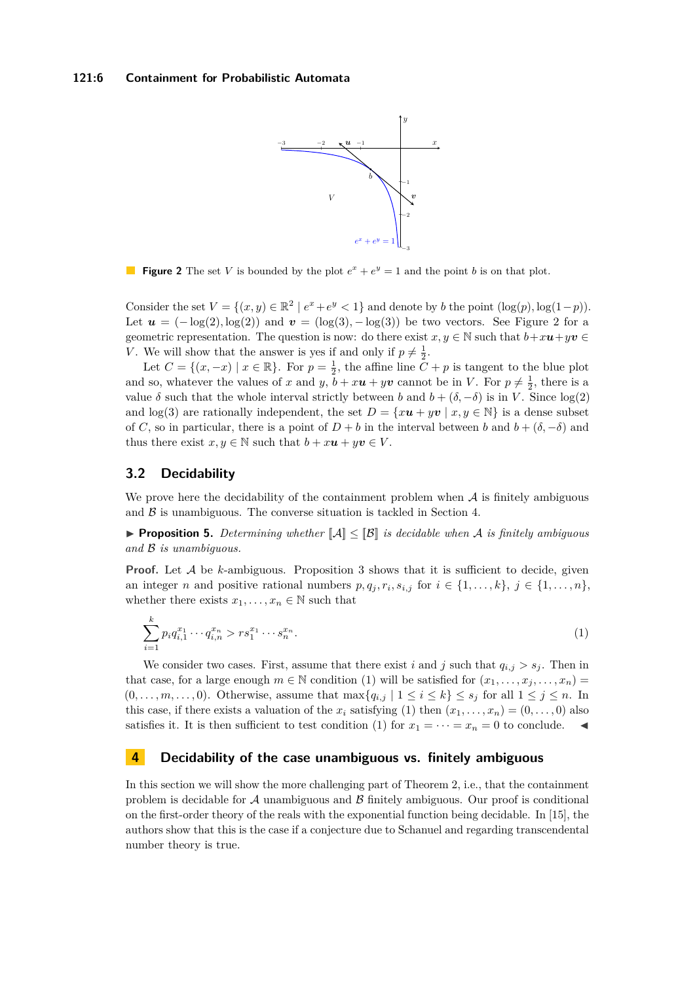<span id="page-5-1"></span>

**Figure 2** The set *V* is bounded by the plot  $e^x + e^y = 1$  and the point *b* is on that plot.

Consider the set  $V = \{(x, y) \in \mathbb{R}^2 \mid e^x + e^y < 1\}$  and denote by *b* the point  $(\log(p), \log(1-p))$ . Let  $u = (-\log(2), \log(2))$  and  $v = (\log(3), -\log(3))$  be two vectors. See Figure [2](#page-5-1) for a geometric representation. The question is now: do there exist  $x, y \in \mathbb{N}$  such that  $b + x\mathbf{u} + y\mathbf{v} \in$ *V*. We will show that the answer is yes if and only if  $p \neq \frac{1}{2}$ .

Let  $C = \{(x, -x) \mid x \in \mathbb{R}\}$ . For  $p = \frac{1}{2}$ , the affine line  $C + p$  is tangent to the blue plot and so, whatever the values of *x* and *y*,  $b + x\boldsymbol{u} + y\boldsymbol{v}$  cannot be in *V*. For  $p \neq \frac{1}{2}$ , there is a value  $\delta$  such that the whole interval strictly between *b* and  $b + (\delta, -\delta)$  is in *V*. Since log(2) and log(3) are rationally independent, the set  $D = \{x\mathbf{u} + y\mathbf{v} \mid x, y \in \mathbb{N}\}\)$  is a dense subset of *C*, so in particular, there is a point of  $D + b$  in the interval between *b* and  $b + (\delta, -\delta)$  and thus there exist  $x, y \in \mathbb{N}$  such that  $b + x\mathbf{u} + y\mathbf{v} \in V$ .

#### **3.2 Decidability**

We prove here the decidability of the containment problem when  $A$  is finitely ambiguous and  $\beta$  is unambiguous. The converse situation is tackled in Section [4.](#page-5-0)

**Proposition 5.** Determining whether  $\llbracket A \rrbracket \leq \llbracket B \rrbracket$  is decidable when A is finitely ambiguous *and* B *is unambiguous.*

**Proof.** Let A be *k*-ambiguous. Proposition [3](#page-4-1) shows that it is sufficient to decide, given an integer *n* and positive rational numbers  $p, q_j, r_i, s_{i,j}$  for  $i \in \{1, \ldots, k\}, j \in \{1, \ldots, n\}$ , whether there exists  $x_1, \ldots, x_n \in \mathbb{N}$  such that

<span id="page-5-2"></span>
$$
\sum_{i=1}^{k} p_i q_{i,1}^{x_1} \cdots q_{i,n}^{x_n} > r s_1^{x_1} \cdots s_n^{x_n}.
$$
\n(1)

We consider two cases. First, assume that there exist *i* and *j* such that  $q_{i,j} > s_j$ . Then in that case, for a large enough  $m \in \mathbb{N}$  condition [\(1\)](#page-5-2) will be satisfied for  $(x_1, \ldots, x_j, \ldots, x_n)$  $(0, \ldots, m, \ldots, 0)$ . Otherwise, assume that  $\max\{q_{i,j} \mid 1 \leq i \leq k\} \leq s_j$  for all  $1 \leq j \leq n$ . In this case, if there exists a valuation of the  $x_i$  satisfying [\(1\)](#page-5-2) then  $(x_1, \ldots, x_n) = (0, \ldots, 0)$  also satisfies it. It is then sufficient to test condition [\(1\)](#page-5-2) for  $x_1 = \cdots = x_n = 0$  to conclude.

#### <span id="page-5-0"></span>**4 Decidability of the case unambiguous vs. finitely ambiguous**

In this section we will show the more challenging part of Theorem [2,](#page-2-1) i.e., that the containment problem is decidable for  $A$  unambiguous and  $B$  finitely ambiguous. Our proof is conditional on the first-order theory of the reals with the exponential function being decidable. In [\[15\]](#page-13-10), the authors show that this is the case if a conjecture due to Schanuel and regarding transcendental number theory is true.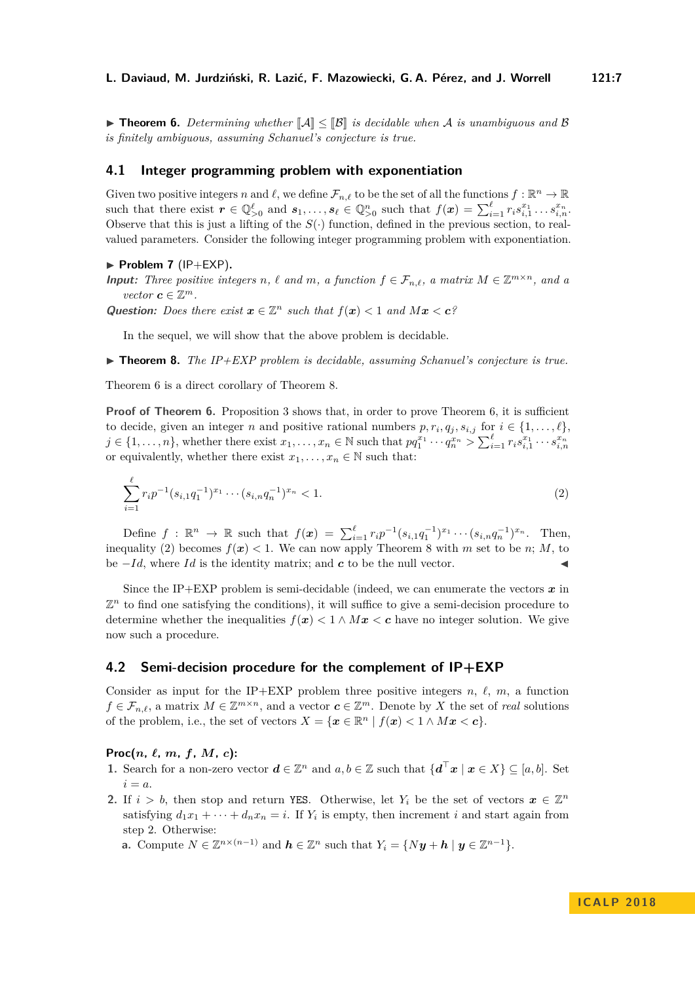<span id="page-6-0"></span>**Findmen 6.** Determining whether  $\mathbb{Z}[\mathcal{B}]$  is decidable when A is unambiguous and B *is finitely ambiguous, assuming Schanuel's conjecture is true.*

#### **4.1 Integer programming problem with exponentiation**

Given two positive integers *n* and  $\ell$ , we define  $\mathcal{F}_{n,\ell}$  to be the set of all the functions  $f : \mathbb{R}^n \to \mathbb{R}$ such that there exist  $r \in \mathbb{Q}_{>0}^{\ell}$  and  $s_1, \ldots, s_{\ell} \in \mathbb{Q}_{>0}^n$  such that  $f(x) = \sum_{i=1}^{\ell} r_i s_{i,1}^{x_1} \ldots s_{i,n}^{x_n}$ . Observe that this is just a lifting of the  $S(\cdot)$  function, defined in the previous section, to realvalued parameters. Consider the following integer programming problem with exponentiation.

#### $\blacktriangleright$  **Problem 7** (IP+EXP).

**Input:** Three positive integers *n*,  $\ell$  and *m*, a function  $f \in \mathcal{F}_{n,\ell}$ , a matrix  $M \in \mathbb{Z}^{m \times n}$ , and a *vector*  $\mathbf{c} \in \mathbb{Z}^m$ .

Question: Does there exist  $x \in \mathbb{Z}^n$  such that  $f(x) < 1$  and  $Mx < c$ ?

In the sequel, we will show that the above problem is decidable.

<span id="page-6-1"></span> $\triangleright$  **Theorem 8.** *The IP+EXP problem is decidable, assuming Schanuel's conjecture is true.* 

Theorem [6](#page-6-0) is a direct corollary of Theorem [8.](#page-6-1)

**Proof of Theorem [6.](#page-6-0)** Proposition [3](#page-4-1) shows that, in order to prove Theorem [6,](#page-6-0) it is sufficient to decide, given an integer *n* and positive rational numbers  $p, r_i, q_j, s_{i,j}$  for  $i \in \{1, \ldots, \ell\}$ ,  $j \in \{1, \ldots, n\}$ , whether there exist  $x_1, \ldots, x_n \in \mathbb{N}$  such that  $pq_1^{x_1} \cdots q_n^{x_n} > \sum_{i=1}^{\ell} r_i s_{i,1}^{x_1} \cdots s_{i,n}^{x_n}$ or equivalently, whether there exist  $x_1, \ldots, x_n \in \mathbb{N}$  such that:

<span id="page-6-2"></span>
$$
\sum_{i=1}^{\ell} r_i p^{-1} (s_{i,1} q_1^{-1})^{x_1} \cdots (s_{i,n} q_n^{-1})^{x_n} < 1. \tag{2}
$$

Define  $f: \mathbb{R}^n \to \mathbb{R}$  such that  $f(x) = \sum_{i=1}^{\ell} r_i p^{-1} (s_{i,1} q_1^{-1})^{x_1} \cdots (s_{i,n} q_n^{-1})^{x_n}$ . Then, inequality [\(2\)](#page-6-2) becomes  $f(x) < 1$ . We can now apply Theorem [8](#page-6-1) with *m* set to be *n*; *M*, to be  $-Id$ , where *Id* is the identity matrix; and *c* to be the null vector.

Since the IP+EXP problem is semi-decidable (indeed, we can enumerate the vectors  $\boldsymbol{x}$  in  $\mathbb{Z}^n$  to find one satisfying the conditions), it will suffice to give a semi-decision procedure to determine whether the inequalities  $f(x) < 1 \wedge Mx < c$  have no integer solution. We give now such a procedure.

#### **4.2 Semi-decision procedure for the complement of IP+EXP**

Consider as input for the IP+EXP problem three positive integers  $n, \ell, m$ , a function  $f \in \mathcal{F}_{n,\ell}$ , a matrix  $M \in \mathbb{Z}^{m \times n}$ , and a vector  $c \in \mathbb{Z}^m$ . Denote by *X* the set of *real* solutions of the problem, i.e., the set of vectors  $X = \{x \in \mathbb{R}^n \mid f(x) < 1 \land Mx < c\}$ .

#### **Proc** $(n, \ell, m, f, M, c)$ :

- **1.** Search for a non-zero vector  $d \in \mathbb{Z}^n$  and  $a, b \in \mathbb{Z}$  such that  $\{d^{\top}x \mid x \in X\} \subseteq [a, b]$ . Set  $i = a$ .
- **2.** If  $i > b$ , then stop and return YES. Otherwise, let  $Y_i$  be the set of vectors  $x \in \mathbb{Z}^n$ satisfying  $d_1x_1 + \cdots + d_nx_n = i$ . If  $Y_i$  is empty, then increment *i* and start again from step 2. Otherwise:

**a.** Compute  $N \in \mathbb{Z}^{n \times (n-1)}$  and  $h \in \mathbb{Z}^n$  such that  $Y_i = \{ Ny + h \mid y \in \mathbb{Z}^{n-1} \}.$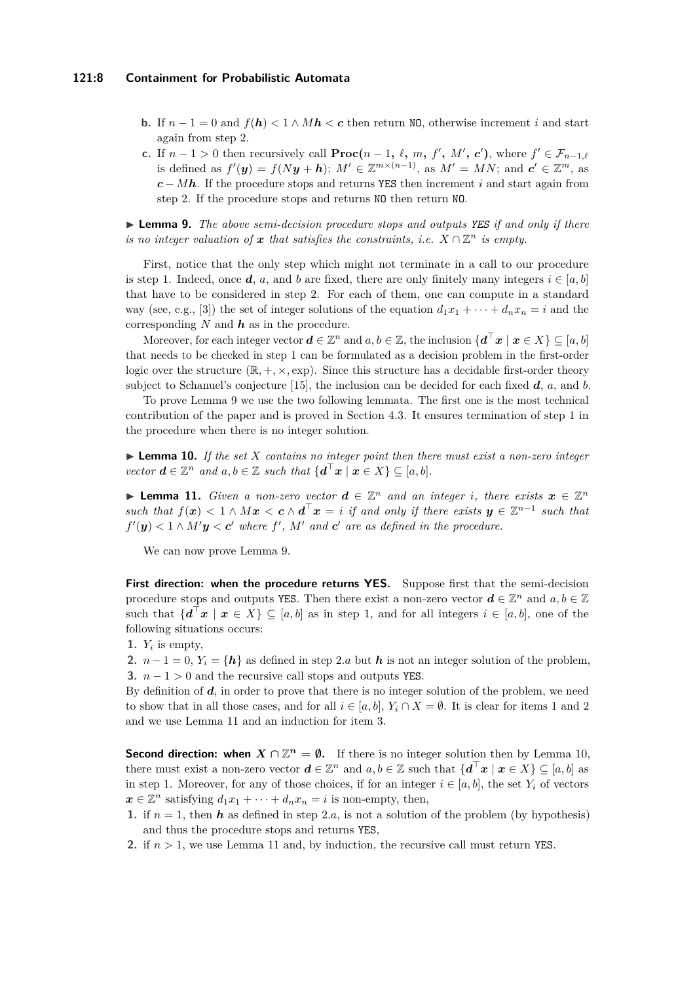#### **121:8 Containment for Probabilistic Automata**

- **b.** If  $n-1=0$  and  $f(h) < 1 \wedge Mh < c$  then return NO, otherwise increment *i* and start again from step 2.
- **c.** If  $n-1>0$  then recursively call  $\textbf{Proc}(n-1, \ell, m, f', M', c')$ , where  $f' \in \mathcal{F}_{n-1,\ell}$ is defined as  $f'(y) = f(Ny + h); M' \in \mathbb{Z}^{m \times (n-1)}$ , as  $M' = MN$ ; and  $c' \in \mathbb{Z}^m$ , as *c* − *Mh*. If the procedure stops and returns YES then increment *i* and start again from step 2. If the procedure stops and returns NO then return NO.

<span id="page-7-0"></span>I **Lemma 9.** *The above semi-decision procedure stops and outputs YES if and only if there is no integer valuation of*  $x$  *that satisfies the constraints, i.e.*  $X \cap \mathbb{Z}^n$  *is empty.* 

First, notice that the only step which might not terminate in a call to our procedure is step 1. Indeed, once *d*, *a*, and *b* are fixed, there are only finitely many integers  $i \in [a, b]$ that have to be considered in step 2. For each of them, one can compute in a standard way (see, e.g., [\[3\]](#page-12-9)) the set of integer solutions of the equation  $d_1x_1 + \cdots + d_nx_n = i$  and the corresponding *N* and *h* as in the procedure.

Moreover, for each integer vector  $d \in \mathbb{Z}^n$  and  $a, b \in \mathbb{Z}$ , the inclusion  $\{d^\top x \mid x \in X\} \subseteq [a, b]$ that needs to be checked in step 1 can be formulated as a decision problem in the first-order logic over the structure  $(\mathbb{R}, +, \times, \exp)$ . Since this structure has a decidable first-order theory subject to Schanuel's conjecture [\[15\]](#page-13-10), the inclusion can be decided for each fixed *d*, *a*, and *b*.

To prove Lemma [9](#page-7-0) we use the two following lemmata. The first one is the most technical contribution of the paper and is proved in Section [4.3.](#page-8-0) It ensures termination of step 1 in the procedure when there is no integer solution.

<span id="page-7-2"></span>I **Lemma 10.** *If the set X contains no integer point then there must exist a non-zero integer vector*  $\mathbf{d} \in \mathbb{Z}^n$  *and*  $a, b \in \mathbb{Z}$  *such that*  $\{\mathbf{d}^\top \mathbf{x} \mid \mathbf{x} \in X\} \subseteq [a, b].$ 

<span id="page-7-1"></span>▶ **Lemma 11.** *Given a non-zero vector*  $d \in \mathbb{Z}^n$  *and an integer i, there exists*  $x \in \mathbb{Z}^n$ *such that*  $f(x) < 1 \wedge Mx < c \wedge d^{\top}x = i$  *if and only if there exists*  $y \in \mathbb{Z}^{n-1}$  *such that*  $f'(\mathbf{y}) < 1 \wedge M' \mathbf{y} < \mathbf{c}'$  where  $f'$ ,  $M'$  and  $\mathbf{c}'$  are as defined in the procedure.

We can now prove Lemma [9.](#page-7-0)

First direction: when the procedure returns YES. Suppose first that the semi-decision procedure stops and outputs YES. Then there exist a non-zero vector  $\boldsymbol{d} \in \mathbb{Z}^n$  and  $a, b \in \mathbb{Z}$ such that  $\{d^{\top}x \mid x \in X\} \subseteq [a, b]$  as in step 1, and for all integers  $i \in [a, b]$ , one of the following situations occurs:

1.  $Y_i$  is empty,

**2.**  $n-1=0$ ,  $Y_i = \{h\}$  as defined in step 2*.a* but *h* is not an integer solution of the problem, **3.**  $n - 1 > 0$  and the recursive call stops and outputs YES.

By definition of *d*, in order to prove that there is no integer solution of the problem, we need to show that in all those cases, and for all  $i \in [a, b]$ ,  $Y_i \cap X = \emptyset$ . It is clear for items 1 and 2 and we use Lemma [11](#page-7-1) and an induction for item 3.

**Second direction: when**  $X \cap \mathbb{Z}^n = \emptyset$ . If there is no integer solution then by Lemma [10,](#page-7-2) there must exist a non-zero vector  $d \in \mathbb{Z}^n$  and  $a, b \in \mathbb{Z}$  such that  $\{d^\top x \mid x \in X\} \subseteq [a, b]$  as in step 1. Moreover, for any of those choices, if for an integer  $i \in [a, b]$ , the set  $Y_i$  of vectors  $x \in \mathbb{Z}^n$  satisfying  $d_1x_1 + \cdots + d_nx_n = i$  is non-empty, then,

- **1.** if  $n = 1$ , then **h** as defined in step 2.a, is not a solution of the problem (by hypothesis) and thus the procedure stops and returns YES,
- **2.** if *n >* 1, we use Lemma [11](#page-7-1) and, by induction, the recursive call must return YES.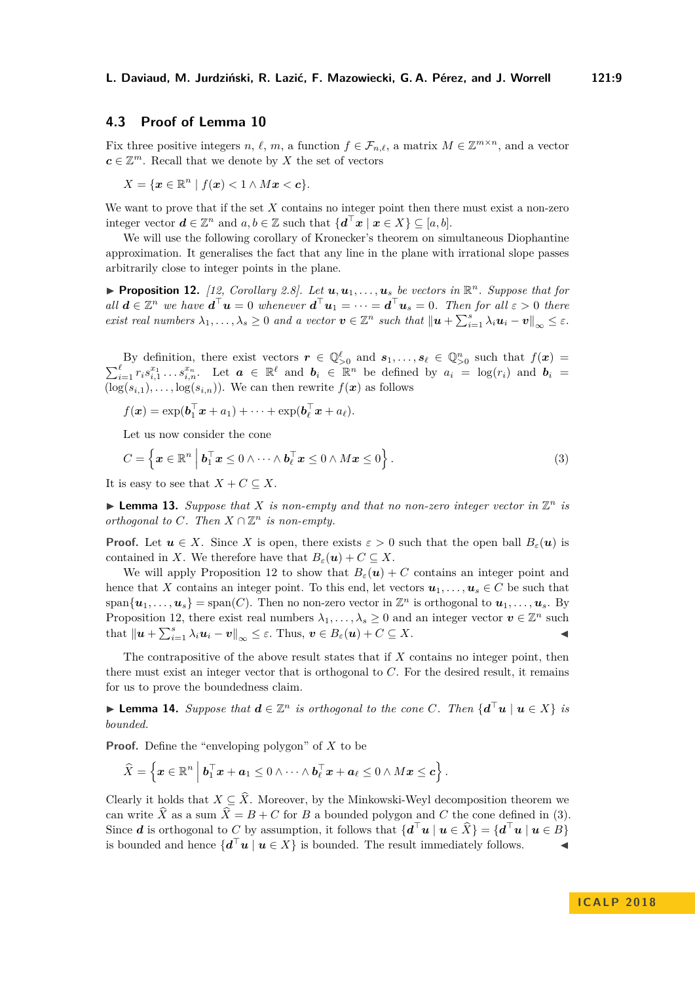## <span id="page-8-0"></span>**4.3 Proof of Lemma [10](#page-7-2)**

Fix three positive integers *n*,  $\ell$ , *m*, a function  $f \in \mathcal{F}_{n,\ell}$ , a matrix  $M \in \mathbb{Z}^{m \times n}$ , and a vector  $c \in \mathbb{Z}^m$ . Recall that we denote by *X* the set of vectors

$$
X = \{ \boldsymbol{x} \in \mathbb{R}^n \mid f(\boldsymbol{x}) < 1 \land M\boldsymbol{x} < \boldsymbol{c} \}.
$$

We want to prove that if the set *X* contains no integer point then there must exist a non-zero integer vector  $\mathbf{d} \in \mathbb{Z}^n$  and  $a, b \in \mathbb{Z}$  such that  $\{\mathbf{d}^\top \mathbf{x} \mid \mathbf{x} \in X\} \subseteq [a, b].$ 

We will use the following corollary of Kronecker's theorem on simultaneous Diophantine approximation. It generalises the fact that any line in the plane with irrational slope passes arbitrarily close to integer points in the plane.

<span id="page-8-1"></span>**Proposition 12.** [\[12,](#page-12-10) Corollary 2.8]. Let  $u, u_1, \ldots, u_s$  be vectors in  $\mathbb{R}^n$ . Suppose that for  $all \ d \in \mathbb{Z}^n$  *we have*  $d^{\top}u = 0$  *whenever*  $d^{\top}u_1 = \cdots = d^{\top}u_s = 0$ *. Then for all*  $\varepsilon > 0$  *there exist real numbers*  $\lambda_1, \ldots, \lambda_s \geq 0$  *and a vector*  $\mathbf{v} \in \mathbb{Z}^n$  *such that*  $\|\mathbf{u} + \sum_{i=1}^s \lambda_i \mathbf{u}_i - \mathbf{v}\|_{\infty} \leq \varepsilon$ .

By definition, there exist vectors  $r \in \mathbb{Q}_{>0}^{\ell}$  and  $s_1, \ldots, s_{\ell} \in \mathbb{Q}_{>0}^n$  such that  $f(x) =$  $\sum_{i=1}^{\ell} r_i s_{i,1}^{x_1} \dots s_{i,n}^{x_n}$ . Let  $\boldsymbol{a} \in \mathbb{R}^{\ell}$  and  $\boldsymbol{b}_i \in \mathbb{R}^n$  be defined by  $a_i = \log(r_i)$  and  $\boldsymbol{b}_i =$  $(\log(s_{i,1}), \ldots, \log(s_{i,n}))$ . We can then rewrite  $f(\boldsymbol{x})$  as follows

<span id="page-8-2"></span> $f(\boldsymbol{x}) = \exp(\boldsymbol{b}_1^\top \boldsymbol{x} + a_1) + \cdots + \exp(\boldsymbol{b}_\ell^\top \boldsymbol{x} + a_\ell).$ 

Let us now consider the cone

$$
C = \left\{ \boldsymbol{x} \in \mathbb{R}^n \middle| \boldsymbol{b}_1^\top \boldsymbol{x} \leq 0 \wedge \dots \wedge \boldsymbol{b}_\ell^\top \boldsymbol{x} \leq 0 \wedge M \boldsymbol{x} \leq 0 \right\}.
$$
 (3)

It is easy to see that  $X + C \subseteq X$ .

<span id="page-8-3"></span>**Example 13.** Suppose that X is non-empty and that no non-zero integer vector in  $\mathbb{Z}^n$  is *orthogonal to*  $C$ *. Then*  $X \cap \mathbb{Z}^n$  *is non-empty.* 

**Proof.** Let  $u \in X$ . Since X is open, there exists  $\varepsilon > 0$  such that the open ball  $B_{\varepsilon}(u)$  is contained in *X*. We therefore have that  $B_{\varepsilon}(\mathbf{u}) + C \subseteq X$ .

We will apply Proposition [12](#page-8-1) to show that  $B_{\varepsilon}(\mathbf{u}) + C$  contains an integer point and hence that *X* contains an integer point. To this end, let vectors  $u_1, \ldots, u_s \in C$  be such that  $\text{span}\{\boldsymbol{u}_1,\ldots,\boldsymbol{u}_s\} = \text{span}(C)$ . Then no non-zero vector in  $\mathbb{Z}^n$  is orthogonal to  $\boldsymbol{u}_1,\ldots,\boldsymbol{u}_s$ . By Proposition [12,](#page-8-1) there exist real numbers  $\lambda_1, \ldots, \lambda_s \geq 0$  and an integer vector  $v \in \mathbb{Z}^n$  such that  $\|\boldsymbol{u} + \sum_{i=1}^s \lambda_i \boldsymbol{u}_i - \boldsymbol{v}\|_{\infty} \leq \varepsilon$ . Thus,  $\boldsymbol{v} \in B_{\varepsilon}(\boldsymbol{u}) + C \subseteq X$ .

The contrapositive of the above result states that if *X* contains no integer point, then there must exist an integer vector that is orthogonal to *C*. For the desired result, it remains for us to prove the boundedness claim.

<span id="page-8-4"></span>▶ **Lemma 14.** *Suppose that*  $d \in \mathbb{Z}^n$  *is orthogonal to the cone*  $C$ *. Then*  $\{d^{\top}u \mid u \in X\}$  *is bounded.*

**Proof.** Define the "enveloping polygon" of *X* to be

$$
\widehat{X} = \left\{ \boldsymbol{x} \in \mathbb{R}^n \,\middle|\, \boldsymbol{b}_1^\top \boldsymbol{x} + \boldsymbol{a}_1 \leq 0 \wedge \cdots \wedge \boldsymbol{b}_\ell^\top \boldsymbol{x} + \boldsymbol{a}_\ell \leq 0 \wedge M \boldsymbol{x} \leq \boldsymbol{c} \right\}.
$$

Clearly it holds that  $X \subseteq \hat{X}$ . Moreover, by the Minkowski-Weyl decomposition theorem we can write  $\hat{X}$  as a sum  $\hat{X} = B + C$  for *B* a bounded polygon and *C* the cone defined in [\(3\)](#page-8-2). Since *d* is orthogonal to *C* by assumption, it follows that  $\{d^{\top}u \mid u \in \hat{X}\} = \{d^{\top}u \mid u \in B\}$ is bounded and hence  $\{d^{\top}u \mid u \in X\}$  is bounded. The result immediately follows.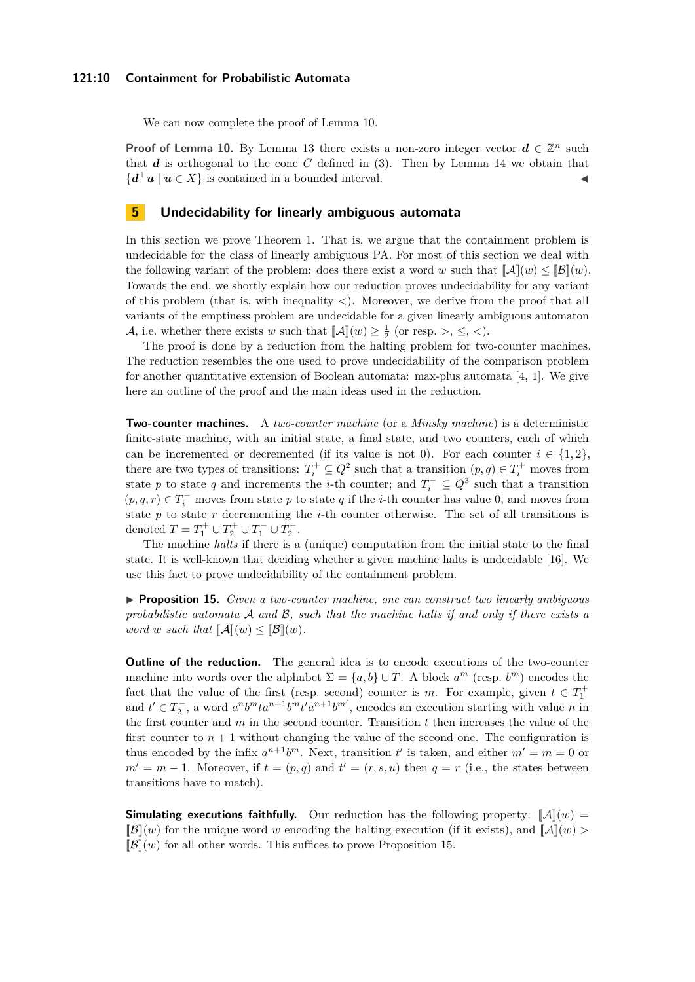#### **121:10 Containment for Probabilistic Automata**

We can now complete the proof of Lemma [10.](#page-7-2)

**Proof of Lemma [10.](#page-7-2)** By Lemma [13](#page-8-3) there exists a non-zero integer vector  $d \in \mathbb{Z}^n$  such that  $d$  is orthogonal to the cone  $C$  defined in  $(3)$ . Then by Lemma [14](#page-8-4) we obtain that  ${d^{\top}}u \mid u \in X$  is contained in a bounded interval.

## <span id="page-9-0"></span>**5 Undecidability for linearly ambiguous automata**

In this section we prove Theorem [1.](#page-1-0) That is, we argue that the containment problem is undecidable for the class of linearly ambiguous PA. For most of this section we deal with the following variant of the problem: does there exist a word *w* such that  $\llbracket \mathcal{A} \rrbracket(w) \leq \llbracket \mathcal{B} \rrbracket(w)$ . Towards the end, we shortly explain how our reduction proves undecidability for any variant of this problem (that is, with inequality *<*). Moreover, we derive from the proof that all variants of the emptiness problem are undecidable for a given linearly ambiguous automaton A, i.e. whether there exists *w* such that  $[\![A]\!](w) \geq \frac{1}{2}$  (or resp. >,  $\leq$ , <).

The proof is done by a reduction from the halting problem for two-counter machines. The reduction resembles the one used to prove undecidability of the comparison problem for another quantitative extension of Boolean automata: max-plus automata [\[4,](#page-12-11) [1\]](#page-11-0). We give here an outline of the proof and the main ideas used in the reduction.

**Two-counter machines.** A *two-counter machine* (or a *Minsky machine*) is a deterministic finite-state machine, with an initial state, a final state, and two counters, each of which can be incremented or decremented (if its value is not 0). For each counter  $i \in \{1,2\}$ , there are two types of transitions:  $T_i^+ \subseteq Q^2$  such that a transition  $(p, q) \in T_i^+$  moves from state *p* to state *q* and increments the *i*-th counter; and  $T_i^{\text{-}} \subseteq Q^3$  such that a transition  $(p, q, r)$  ∈  $T_i$ <sup>−</sup> moves from state *p* to state *q* if the *i*-th counter has value 0, and moves from state *p* to state *r* decrementing the *i*-th counter otherwise. The set of all transitions is denoted  $T = T_1^+ \cup T_2^+ \cup T_1^- \cup T_2^-$ .

The machine *halts* if there is a (unique) computation from the initial state to the final state. It is well-known that deciding whether a given machine halts is undecidable [\[16\]](#page-13-11). We use this fact to prove undecidability of the containment problem.

<span id="page-9-1"></span>I **Proposition 15.** *Given a two-counter machine, one can construct two linearly ambiguous probabilistic automata* A *and* B*, such that the machine halts if and only if there exists a word w such that*  $\llbracket \mathcal{A} \rrbracket(w) \leq \llbracket \mathcal{B} \rrbracket(w)$ *.* 

**Outline of the reduction.** The general idea is to encode executions of the two-counter machine into words over the alphabet  $\Sigma = \{a, b\} \cup T$ . A block  $a^m$  (resp.  $b^m$ ) encodes the fact that the value of the first (resp. second) counter is *m*. For example, given  $t \in T_1^+$ and  $t' \in T_2^-$ , a word  $a^n b^m t a^{n+1} b^m t' a^{n+1} b^m'$ , encodes an execution starting with value *n* in the first counter and *m* in the second counter. Transition *t* then increases the value of the first counter to  $n+1$  without changing the value of the second one. The configuration is thus encoded by the infix  $a^{n+1}b^m$ . Next, transition *t'* is taken, and either  $m' = m = 0$  or  $m' = m - 1$ . Moreover, if  $t = (p, q)$  and  $t' = (r, s, u)$  then  $q = r$  (i.e., the states between transitions have to match).

**Simulating executions faithfully.** Our reduction has the following property:  $\mathbb{A}(\mathbb{I}(w))$  $\mathbb{E}[\mathcal{B}](w)$  for the unique word *w* encoding the halting execution (if it exists), and  $\mathbb{E}[\mathcal{A}](w)$  $\mathbb{B}(\lbrack w\rbrack)$  for all other words. This suffices to prove Proposition [15.](#page-9-1)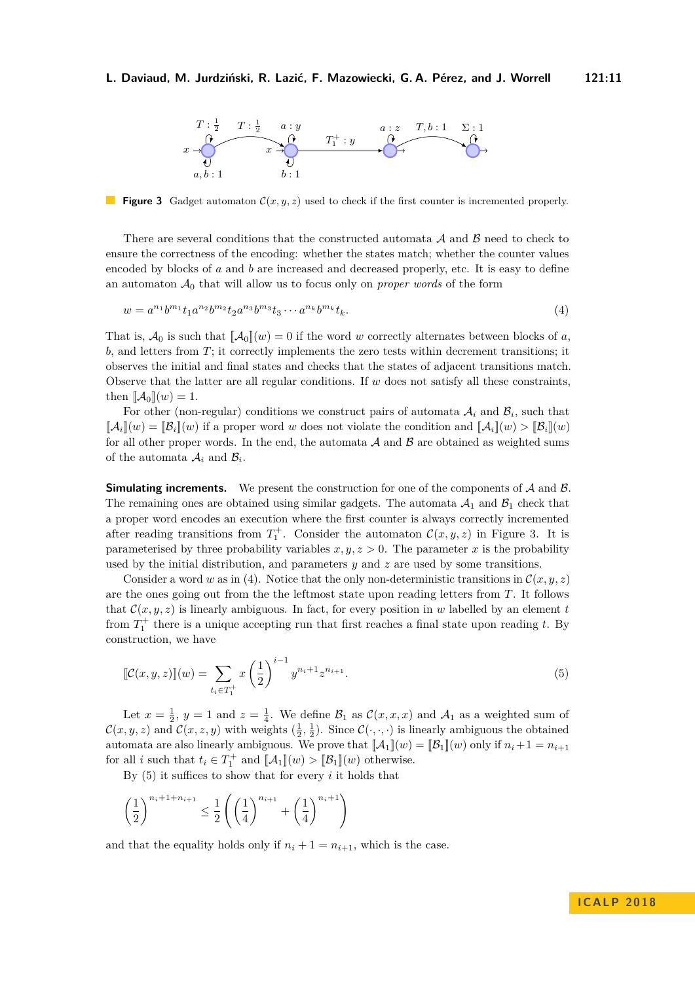<span id="page-10-1"></span><span id="page-10-0"></span>

**Figure 3** Gadget automaton  $\mathcal{C}(x, y, z)$  used to check if the first counter is incremented properly.

There are several conditions that the constructed automata  $A$  and  $B$  need to check to ensure the correctness of the encoding: whether the states match; whether the counter values encoded by blocks of *a* and *b* are increased and decreased properly, etc. It is easy to define an automaton  $A_0$  that will allow us to focus only on *proper words* of the form

$$
w = a^{n_1}b^{m_1}t_1a^{n_2}b^{m_2}t_2a^{n_3}b^{m_3}t_3\cdots a^{n_k}b^{m_k}t_k.
$$
\n<sup>(4)</sup>

That is,  $\mathcal{A}_0$  is such that  $[\![\mathcal{A}_0]\!](w) = 0$  if the word *w* correctly alternates between blocks of *a*, *b*, and letters from *T*; it correctly implements the zero tests within decrement transitions; it observes the initial and final states and checks that the states of adjacent transitions match. Observe that the latter are all regular conditions. If *w* does not satisfy all these constraints, then  $\llbracket \mathcal{A}_0 \rrbracket(w) = 1$ .

For other (non-regular) conditions we construct pairs of automata  $A_i$  and  $B_i$ , such that  $[\![\mathcal{A}_i](w) = [\![\mathcal{B}_i](w) \!]$  if a proper word *w* does not violate the condition and  $[\![\mathcal{A}_i](w) > [\![\mathcal{B}_i](w)$ for all other proper words. In the end, the automata  $A$  and  $B$  are obtained as weighted sums of the automata  $A_i$  and  $B_i$ .

**Simulating increments.** We present the construction for one of the components of A and B. The remaining ones are obtained using similar gadgets. The automata  $A_1$  and  $B_1$  check that a proper word encodes an execution where the first counter is always correctly incremented after reading transitions from  $T_1^+$ . Consider the automaton  $\mathcal{C}(x, y, z)$  in Figure [3.](#page-10-0) It is parameterised by three probability variables  $x, y, z > 0$ . The parameter x is the probability used by the initial distribution, and parameters *y* and *z* are used by some transitions.

Consider a word *w* as in [\(4\)](#page-10-1). Notice that the only non-deterministic transitions in  $\mathcal{C}(x, y, z)$ are the ones going out from the the leftmost state upon reading letters from *T*. It follows that  $\mathcal{C}(x, y, z)$  is linearly ambiguous. In fact, for every position in *w* labelled by an element *t* from  $T_1^+$  there is a unique accepting run that first reaches a final state upon reading *t*. By construction, we have

<span id="page-10-2"></span>
$$
\[\mathcal{C}(x,y,z)\](w) = \sum_{t_i \in T_1^+} x \left(\frac{1}{2}\right)^{i-1} y^{n_i+1} z^{n_{i+1}}.\tag{5}
$$

Let  $x = \frac{1}{2}$ ,  $y = 1$  and  $z = \frac{1}{4}$ . We define  $\mathcal{B}_1$  as  $\mathcal{C}(x, x, x)$  and  $\mathcal{A}_1$  as a weighted sum of  $\mathcal{C}(x, y, z)$  and  $\mathcal{C}(x, z, y)$  with weights  $(\frac{1}{2}, \frac{1}{2})$ . Since  $\mathcal{C}(\cdot, \cdot, \cdot)$  is linearly ambiguous the obtained automata are also linearly ambiguous. We prove that  $[\mathcal{A}_1](w) = [\mathcal{B}_1](w)$  only if  $n_i + 1 = n_{i+1}$ for all *i* such that  $t_i \in T_1^+$  and  $[\![\mathcal{A}_1]\!](w) > [\![\mathcal{B}_1]\!](w)$  otherwise.

By [\(5\)](#page-10-2) it suffices to show that for every *i* it holds that

$$
\left(\frac{1}{2}\right)^{n_i+1+n_{i+1}} \le \frac{1}{2} \left( \left(\frac{1}{4}\right)^{n_{i+1}} + \left(\frac{1}{4}\right)^{n_{i+1}} \right)
$$

and that the equality holds only if  $n_i + 1 = n_{i+1}$ , which is the case.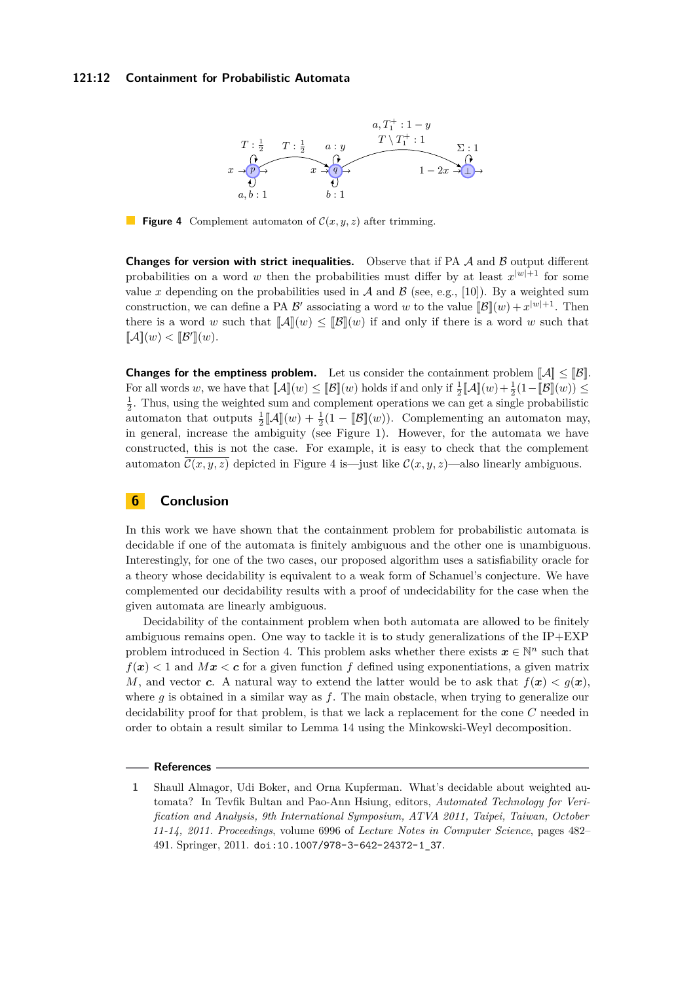#### <span id="page-11-1"></span>**121:12 Containment for Probabilistic Automata**



**Figure 4** Complement automaton of  $\mathcal{C}(x, y, z)$  after trimming.

**Changes for version with strict inequalities.** Observe that if PA  $A$  and  $B$  output different probabilities on a word *w* then the probabilities must differ by at least  $x^{|w|+1}$  for some value x depending on the probabilities used in  $A$  and  $B$  (see, e.g., [\[10\]](#page-12-12)). By a weighted sum construction, we can define a PA  $\mathcal{B}'$  associating a word *w* to the value  $[\mathcal{B}](w) + x^{|w|+1}$ . Then there is a word *w* such that  $\llbracket A \rrbracket(w) \leq \llbracket B \rrbracket(w)$  if and only if there is a word *w* such that  $\llbracket \mathcal{A} \rrbracket(w) < \llbracket \mathcal{B}' \rrbracket(w).$ 

**Changes for the emptiness problem.** Let us consider the containment problem  $\|\mathcal{A}\| \leq \|\mathcal{B}\|$ . For all words *w*, we have that  $\llbracket \mathcal{A} \rrbracket(w) \leq \llbracket \mathcal{B} \rrbracket(w)$  holds if and only if  $\frac{1}{2} \llbracket \mathcal{A} \rrbracket(w) + \frac{1}{2} (1 - \llbracket \mathcal{B} \rrbracket(w)) \leq$  $\frac{1}{2}$ . Thus, using the weighted sum and complement operations we can get a single probabilistic automaton that outputs  $\frac{1}{2}[\![\mathcal{A}]\!](w) + \frac{1}{2}(1 - [\![\mathcal{B}]\!](w))$ . Complementing an automaton may, in general, increase the ambiguity (see Figure [1\)](#page-3-0). However, for the automata we have constructed, this is not the case. For example, it is easy to check that the complement automaton  $\mathcal{C}(x, y, z)$  depicted in Figure [4](#page-11-1) is—just like  $\mathcal{C}(x, y, z)$ —also linearly ambiguous.

### **6 Conclusion**

In this work we have shown that the containment problem for probabilistic automata is decidable if one of the automata is finitely ambiguous and the other one is unambiguous. Interestingly, for one of the two cases, our proposed algorithm uses a satisfiability oracle for a theory whose decidability is equivalent to a weak form of Schanuel's conjecture. We have complemented our decidability results with a proof of undecidability for the case when the given automata are linearly ambiguous.

Decidability of the containment problem when both automata are allowed to be finitely ambiguous remains open. One way to tackle it is to study generalizations of the  $IP+EXP$ problem introduced in Section [4.](#page-5-0) This problem asks whether there exists  $x \in \mathbb{N}^n$  such that  $f(x) < 1$  and  $Mx < c$  for a given function f defined using exponentiations, a given matrix *M*, and vector *c*. A natural way to extend the latter would be to ask that  $f(x) < g(x)$ , where  $q$  is obtained in a similar way as  $f$ . The main obstacle, when trying to generalize our decidability proof for that problem, is that we lack a replacement for the cone *C* needed in order to obtain a result similar to Lemma [14](#page-8-4) using the Minkowski-Weyl decomposition.

#### **References**

<span id="page-11-0"></span>**1** Shaull Almagor, Udi Boker, and Orna Kupferman. What's decidable about weighted automata? In Tevfik Bultan and Pao-Ann Hsiung, editors, *Automated Technology for Verification and Analysis, 9th International Symposium, ATVA 2011, Taipei, Taiwan, October 11-14, 2011. Proceedings*, volume 6996 of *Lecture Notes in Computer Science*, pages 482– 491. Springer, 2011. [doi:10.1007/978-3-642-24372-1\\_37](http://dx.doi.org/10.1007/978-3-642-24372-1_37).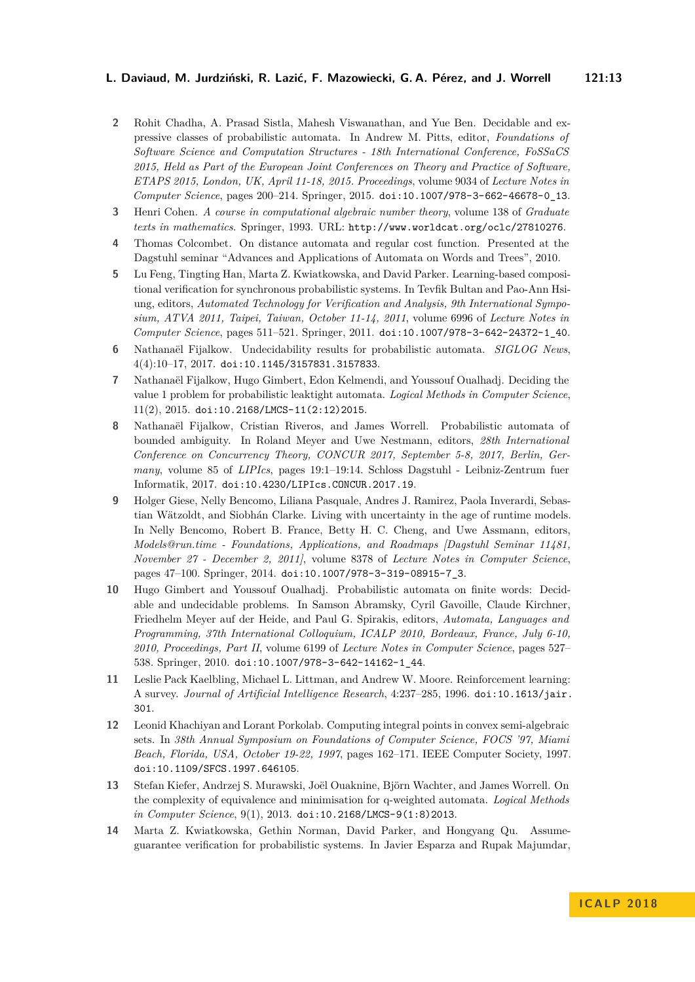- <span id="page-12-6"></span>**2** Rohit Chadha, A. Prasad Sistla, Mahesh Viswanathan, and Yue Ben. Decidable and expressive classes of probabilistic automata. In Andrew M. Pitts, editor, *Foundations of Software Science and Computation Structures - 18th International Conference, FoSSaCS 2015, Held as Part of the European Joint Conferences on Theory and Practice of Software, ETAPS 2015, London, UK, April 11-18, 2015. Proceedings*, volume 9034 of *Lecture Notes in Computer Science*, pages 200–214. Springer, 2015. [doi:10.1007/978-3-662-46678-0\\_13](http://dx.doi.org/10.1007/978-3-662-46678-0_13).
- <span id="page-12-9"></span>**3** Henri Cohen. *A course in computational algebraic number theory*, volume 138 of *Graduate texts in mathematics*. Springer, 1993. URL: <http://www.worldcat.org/oclc/27810276>.
- <span id="page-12-11"></span>**4** Thomas Colcombet. On distance automata and regular cost function. Presented at the Dagstuhl seminar "Advances and Applications of Automata on Words and Trees", 2010.
- <span id="page-12-2"></span>**5** Lu Feng, Tingting Han, Marta Z. Kwiatkowska, and David Parker. Learning-based compositional verification for synchronous probabilistic systems. In Tevfik Bultan and Pao-Ann Hsiung, editors, *Automated Technology for Verification and Analysis, 9th International Symposium, ATVA 2011, Taipei, Taiwan, October 11-14, 2011*, volume 6996 of *Lecture Notes in Computer Science*, pages 511–521. Springer, 2011. [doi:10.1007/978-3-642-24372-1\\_40](http://dx.doi.org/10.1007/978-3-642-24372-1_40).
- <span id="page-12-8"></span>**6** Nathanaël Fijalkow. Undecidability results for probabilistic automata. *SIGLOG News*, 4(4):10–17, 2017. [doi:10.1145/3157831.3157833](http://dx.doi.org/10.1145/3157831.3157833).
- <span id="page-12-5"></span>**7** Nathanaël Fijalkow, Hugo Gimbert, Edon Kelmendi, and Youssouf Oualhadj. Deciding the value 1 problem for probabilistic leaktight automata. *Logical Methods in Computer Science*, 11(2), 2015. [doi:10.2168/LMCS-11\(2:12\)2015](http://dx.doi.org/10.2168/LMCS-11(2:12)2015).
- <span id="page-12-7"></span>**8** Nathanaël Fijalkow, Cristian Riveros, and James Worrell. Probabilistic automata of bounded ambiguity. In Roland Meyer and Uwe Nestmann, editors, *28th International Conference on Concurrency Theory, CONCUR 2017, September 5-8, 2017, Berlin, Germany*, volume 85 of *LIPIcs*, pages 19:1–19:14. Schloss Dagstuhl - Leibniz-Zentrum fuer Informatik, 2017. [doi:10.4230/LIPIcs.CONCUR.2017.19](http://dx.doi.org/10.4230/LIPIcs.CONCUR.2017.19).
- <span id="page-12-3"></span>**9** Holger Giese, Nelly Bencomo, Liliana Pasquale, Andres J. Ramirez, Paola Inverardi, Sebastian Wätzoldt, and Siobhán Clarke. Living with uncertainty in the age of runtime models. In Nelly Bencomo, Robert B. France, Betty H. C. Cheng, and Uwe Assmann, editors, *Models@run.time - Foundations, Applications, and Roadmaps [Dagstuhl Seminar 11481, November 27 - December 2, 2011]*, volume 8378 of *Lecture Notes in Computer Science*, pages 47–100. Springer, 2014. [doi:10.1007/978-3-319-08915-7\\_3](http://dx.doi.org/10.1007/978-3-319-08915-7_3).
- <span id="page-12-12"></span>**10** Hugo Gimbert and Youssouf Oualhadj. Probabilistic automata on finite words: Decidable and undecidable problems. In Samson Abramsky, Cyril Gavoille, Claude Kirchner, Friedhelm Meyer auf der Heide, and Paul G. Spirakis, editors, *Automata, Languages and Programming, 37th International Colloquium, ICALP 2010, Bordeaux, France, July 6-10, 2010, Proceedings, Part II*, volume 6199 of *Lecture Notes in Computer Science*, pages 527– 538. Springer, 2010. [doi:10.1007/978-3-642-14162-1\\_44](http://dx.doi.org/10.1007/978-3-642-14162-1_44).
- <span id="page-12-0"></span>**11** Leslie Pack Kaelbling, Michael L. Littman, and Andrew W. Moore. Reinforcement learning: A survey. *Journal of Artificial Intelligence Research*, 4:237–285, 1996. [doi:10.1613/jair.](http://dx.doi.org/10.1613/jair.301) [301](http://dx.doi.org/10.1613/jair.301).
- <span id="page-12-10"></span>**12** Leonid Khachiyan and Lorant Porkolab. Computing integral points in convex semi-algebraic sets. In *38th Annual Symposium on Foundations of Computer Science, FOCS '97, Miami Beach, Florida, USA, October 19-22, 1997*, pages 162–171. IEEE Computer Society, 1997. [doi:10.1109/SFCS.1997.646105](http://dx.doi.org/10.1109/SFCS.1997.646105).
- <span id="page-12-4"></span>**13** Stefan Kiefer, Andrzej S. Murawski, Joël Ouaknine, Björn Wachter, and James Worrell. On the complexity of equivalence and minimisation for q-weighted automata. *Logical Methods in Computer Science*, 9(1), 2013. [doi:10.2168/LMCS-9\(1:8\)2013](http://dx.doi.org/10.2168/LMCS-9(1:8)2013).
- <span id="page-12-1"></span>**14** Marta Z. Kwiatkowska, Gethin Norman, David Parker, and Hongyang Qu. Assumeguarantee verification for probabilistic systems. In Javier Esparza and Rupak Majumdar,